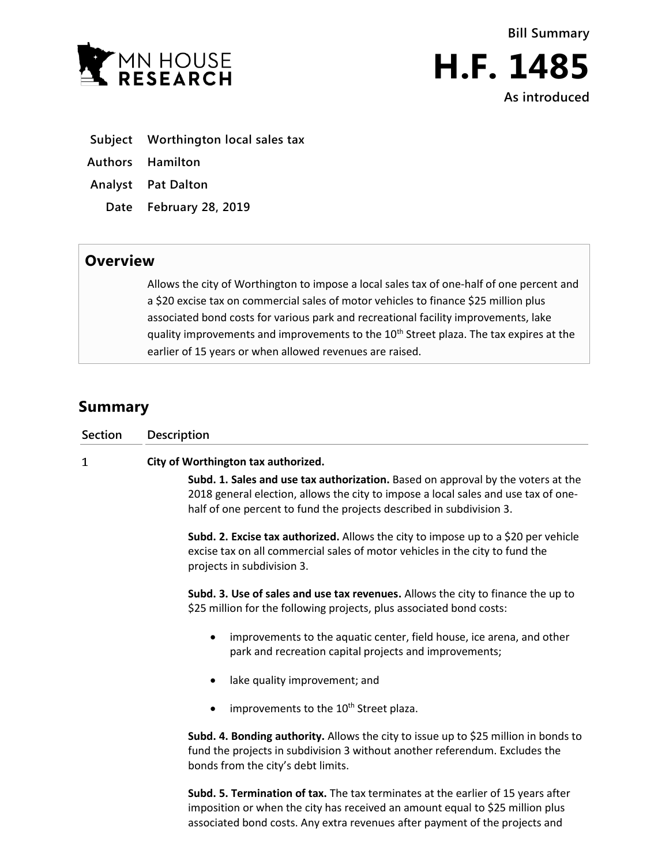



**H.F. 1485 As introduced**

- **Subject Worthington local sales tax**
- **Authors Hamilton**
- **Analyst Pat Dalton**
	- **Date February 28, 2019**

## **Overview**

Allows the city of Worthington to impose a local sales tax of one-half of one percent and a \$20 excise tax on commercial sales of motor vehicles to finance \$25 million plus associated bond costs for various park and recreational facility improvements, lake quality improvements and improvements to the 10<sup>th</sup> Street plaza. The tax expires at the earlier of 15 years or when allowed revenues are raised.

## **Summary**

| Section | <b>Description</b>                                                                                                                                                                                                                             |
|---------|------------------------------------------------------------------------------------------------------------------------------------------------------------------------------------------------------------------------------------------------|
| 1       | City of Worthington tax authorized.                                                                                                                                                                                                            |
|         | Subd. 1. Sales and use tax authorization. Based on approval by the voters at the<br>2018 general election, allows the city to impose a local sales and use tax of one-<br>half of one percent to fund the projects described in subdivision 3. |
|         | Subd. 2. Excise tax authorized. Allows the city to impose up to a \$20 per vehicle<br>excise tax on all commercial sales of motor vehicles in the city to fund the<br>projects in subdivision 3.                                               |
|         | Subd. 3. Use of sales and use tax revenues. Allows the city to finance the up to<br>\$25 million for the following projects, plus associated bond costs:                                                                                       |
|         | improvements to the aquatic center, field house, ice arena, and other<br>park and recreation capital projects and improvements;                                                                                                                |
|         | lake quality improvement; and                                                                                                                                                                                                                  |
|         | improvements to the 10 <sup>th</sup> Street plaza.                                                                                                                                                                                             |
|         | Subd. 4. Bonding authority. Allows the city to issue up to \$25 million in bonds to<br>fund the projects in subdivision 3 without another referendum. Excludes the<br>bonds from the city's debt limits.                                       |
|         | Subd. 5. Termination of tax. The tax terminates at the earlier of 15 years after<br>imposition or when the city has received an amount equal to \$25 million plus                                                                              |

associated bond costs. Any extra revenues after payment of the projects and